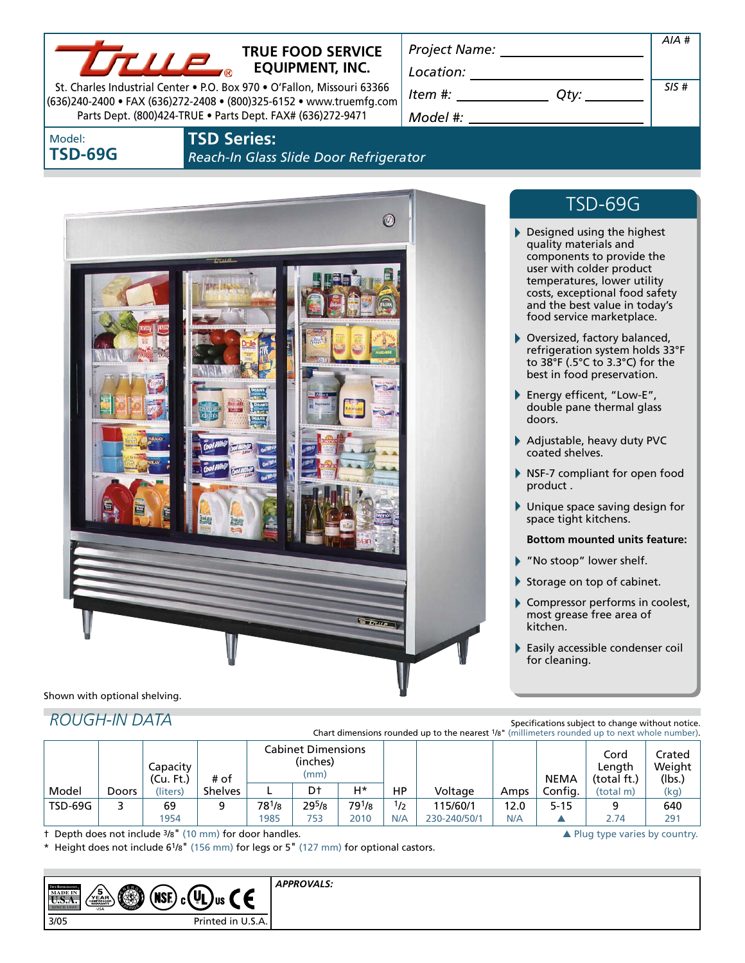

### **TRUE FOOD SERVICE EQUIPMENT, INC.**

St. Charles Industrial Center • P.O. Box 970 • O'Fallon, Missouri 63366 (636)240-2400 • FAX (636)272-2408 • (800)325-6152 • www.truemfg.com Parts Dept. (800)424-TRUE • Parts Dept. FAX# (636)272-9471

*Location: Item #: Qty:*

*Project Name:*

### *Model #:*

Model: **TSD-69G**

### **TSD Series:**  *Reach-In Glass Slide Door Refrigerator*



# TSD-69G

*AIA #*

*SIS #*

- Designed using the highest quality materials and components to provide the user with colder product temperatures, lower utility costs, exceptional food safety and the best value in today's food service marketplace.
- Oversized, factory balanced, refrigeration system holds 33°F to 38°F (.5°C to 3.3°C) for the best in food preservation.
- Energy efficent, "Low-E", double pane thermal glass doors.
- Adjustable, heavy duty PVC coated shelves.
- NSF-7 compliant for open food product .
- Unique space saving design for space tight kitchens.

#### **Bottom mounted units feature:**

- "No stoop" lower shelf.
- Storage on top of cabinet.
- Compressor performs in coolest, most grease free area of kitchen.
- Easily accessible condenser coil for cleaning.

Shown with optional shelving.

## *ROUGH-IN DATA*

Specifications subject to change without notice. Chart dimensions rounded up to the nearest 1/8" (millimeters rounded up to next whole number).

|         |       | Capacity<br>(Cu. Ft.) | # of           | <b>Cabinet Dimensions</b><br>(inches)<br>(mm) |              |                            |            |                          |             | <b>NEMA</b> | Cord<br>Lenath<br>(total ft.) | Crated<br>Weight<br>(lbs.) |
|---------|-------|-----------------------|----------------|-----------------------------------------------|--------------|----------------------------|------------|--------------------------|-------------|-------------|-------------------------------|----------------------------|
| Model   | Doors | (liters)              | <b>Shelves</b> |                                               | Dt           | H*                         | НP         | Voltage                  | Amps        | Config.     | (total m)                     | (kg)                       |
| TSD-69G |       | 69<br>1954            |                | 781/8<br>1985                                 | 295/8<br>753 | 79 <sup>1</sup> /8<br>2010 | 1/2<br>N/A | 115/60/1<br>230-240/50/1 | 12.0<br>N/A | $5 - 15$    | 2.74                          | 640<br>291                 |

† Depth does not include 3/8" (10 mm) for door handles. 
■ Plug type varies by country.

Height does not include 6<sup>1</sup>/8" (156 mm) for legs or 5" (127 mm) for optional castors.